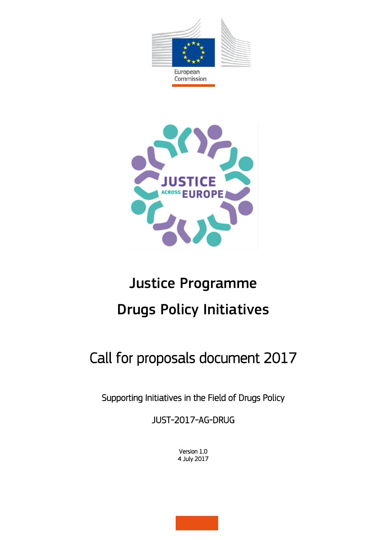



# Justice Programme Drugs Policy Initiatives

## Call for proposals document 2017

Supporting Initiatives in the Field of Drugs Policy

JUST-2017-AG-DRUG

Version 1.0 4 July 2017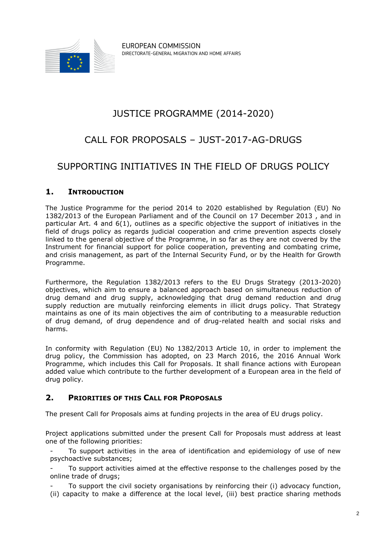

## JUSTICE PROGRAMME (2014-2020)

## CALL FOR PROPOSALS – JUST-2017-AG-DRUGS

### SUPPORTING INITIATIVES IN THE FIELD OF DRUGS POLICY

#### **1. INTRODUCTION**

The Justice Programme for the period 2014 to 2020 established by Regulation (EU) No 1382/2013 of the European Parliament and of the Council on 17 December 2013 , and in particular Art. 4 and 6(1), outlines as a specific objective the support of initiatives in the field of drugs policy as regards judicial cooperation and crime prevention aspects closely linked to the general objective of the Programme, in so far as they are not covered by the Instrument for financial support for police cooperation, preventing and combating crime, and crisis management, as part of the Internal Security Fund, or by the Health for Growth Programme.

Furthermore, the Regulation 1382/2013 refers to the EU Drugs Strategy (2013-2020) objectives, which aim to ensure a balanced approach based on simultaneous reduction of drug demand and drug supply, acknowledging that drug demand reduction and drug supply reduction are mutually reinforcing elements in illicit drugs policy. That Strategy maintains as one of its main objectives the aim of contributing to a measurable reduction of drug demand, of drug dependence and of drug-related health and social risks and harms.

In conformity with Regulation (EU) No 1382/2013 Article 10, in order to implement the drug policy, the Commission has adopted, on 23 March 2016, the 2016 Annual Work Programme, which includes this Call for Proposals. It shall finance actions with European added value which contribute to the further development of a European area in the field of drug policy.

#### **2. PRIORITIES OF THIS CALL FOR PROPOSALS**

The present Call for Proposals aims at funding projects in the area of EU drugs policy.

Project applications submitted under the present Call for Proposals must address at least one of the following priorities:

To support activities in the area of identification and epidemiology of use of new psychoactive substances;

To support activities aimed at the effective response to the challenges posed by the online trade of drugs;

To support the civil society organisations by reinforcing their (i) advocacy function, (ii) capacity to make a difference at the local level, (iii) best practice sharing methods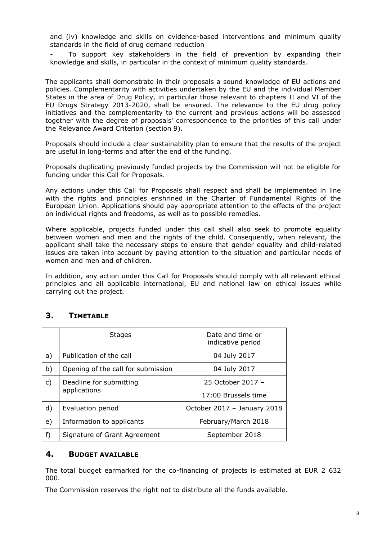and (iv) knowledge and skills on evidence-based interventions and minimum quality standards in the field of drug demand reduction

To support key stakeholders in the field of prevention by expanding their knowledge and skills, in particular in the context of minimum quality standards.

The applicants shall demonstrate in their proposals a sound knowledge of EU actions and policies. Complementarity with activities undertaken by the EU and the individual Member States in the area of Drug Policy, in particular those relevant to chapters II and VI of the EU Drugs Strategy 2013-2020, shall be ensured. The relevance to the EU drug policy initiatives and the complementarity to the current and previous actions will be assessed together with the degree of proposals' correspondence to the priorities of this call under the Relevance Award Criterion (section 9).

Proposals should include a clear sustainability plan to ensure that the results of the project are useful in long-terms and after the end of the funding.

Proposals duplicating previously funded projects by the Commission will not be eligible for funding under this Call for Proposals.

Any actions under this Call for Proposals shall respect and shall be implemented in line with the rights and principles enshrined in the Charter of Fundamental Rights of the European Union. Applications should pay appropriate attention to the effects of the project on individual rights and freedoms, as well as to possible remedies.

Where applicable, projects funded under this call shall also seek to promote equality between women and men and the rights of the child. Consequently, when relevant, the applicant shall take the necessary steps to ensure that gender equality and child-related issues are taken into account by paying attention to the situation and particular needs of women and men and of children.

In addition, any action under this Call for Proposals should comply with all relevant ethical principles and all applicable international, EU and national law on ethical issues while carrying out the project.

#### **3. TIMETABLE**

|    | <b>Stages</b>                           | Date and time or<br>indicative period |  |
|----|-----------------------------------------|---------------------------------------|--|
| a) | Publication of the call                 | 04 July 2017                          |  |
| b) | Opening of the call for submission      | 04 July 2017                          |  |
| c) | Deadline for submitting<br>applications | 25 October 2017 -                     |  |
|    |                                         | 17:00 Brussels time                   |  |
| d) | Evaluation period                       | October 2017 - January 2018           |  |
| e) | Information to applicants               | February/March 2018                   |  |
| f) | Signature of Grant Agreement            | September 2018                        |  |

#### **4. BUDGET AVAILABLE**

The total budget earmarked for the co-financing of projects is estimated at EUR 2 632 000.

The Commission reserves the right not to distribute all the funds available.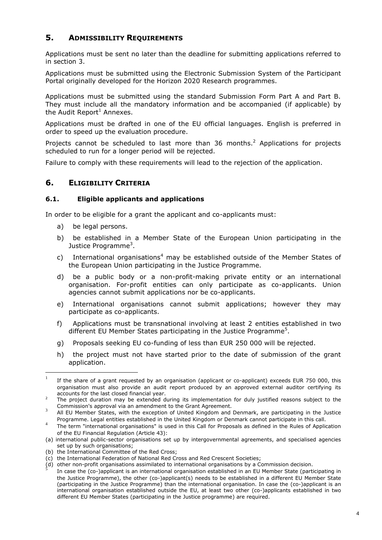#### **5. ADMISSIBILITY REQUIREMENTS**

Applications must be sent no later than the deadline for submitting applications referred to in section 3.

Applications must be submitted using the Electronic Submission System of the Participant Portal originally developed for the Horizon 2020 Research programmes.

Applications must be submitted using the standard Submission Form Part A and Part B. They must include all the mandatory information and be accompanied (if applicable) by the Audit Report<sup>1</sup> Annexes.

Applications must be drafted in one of the EU official languages. English is preferred in order to speed up the evaluation procedure.

Projects cannot be scheduled to last more than 36 months.<sup>2</sup> Applications for projects scheduled to run for a longer period will be rejected.

Failure to comply with these requirements will lead to the rejection of the application.

#### **6. ELIGIBILITY CRITERIA**

#### **6.1. Eligible applicants and applications**

In order to be eligible for a grant the applicant and co-applicants must:

- a) be legal persons.
- b) be established in a Member State of the European Union participating in the Justice Programme<sup>3</sup>.
- c) International organisations<sup>4</sup> may be established outside of the Member States of the European Union participating in the Justice Programme.
- d) be a public body or a non-profit-making private entity or an international organisation. For-profit entities can only participate as co-applicants. Union agencies cannot submit applications nor be co-applicants.
- e) International organisations cannot submit applications; however they may participate as co-applicants.
- f) Applications must be transnational involving at least 2 entities established in two different EU Member States participating in the Justice Programme<sup>5</sup>.
- g) Proposals seeking EU co-funding of less than EUR 250 000 will be rejected.
- h) the project must not have started prior to the date of submission of the grant application.

 $\frac{1}{1}$ If the share of a grant requested by an organisation (applicant or co-applicant) exceeds EUR 750 000, this organisation must also provide an audit report produced by an approved external auditor certifying its accounts for the last closed financial year.

 $2^2$  The project duration may be extended during its implementation for duly justified reasons subject to the Commission's approval via an amendment to the Grant Agreement. 3

All EU Member States, with the exception of United Kingdom and Denmark, are participating in the Justice Programme. Legal entities established in the United Kingdom or Denmark cannot participate in this call. 4

The term "international organisations" is used in this Call for Proposals as defined in the Rules of Application of the EU Financial Regulation (Article 43):

<sup>(</sup>a) international public-sector organisations set up by intergovernmental agreements, and specialised agencies set up by such organisations;

<sup>(</sup>b) the International Committee of the Red Cross;

<sup>(</sup>c) the International Federation of National Red Cross and Red Crescent Societies;

<sup>(</sup>d) other non-profit organisations assimilated to international organisations by a Commission decision.<br>Surfaces the (see )anglisent is an international arganisation astablished in an EU Member Ctate (north

In case the (co-)applicant is an international organisation established in an EU Member State (participating in the Justice Programme), the other (co-)applicant(s) needs to be established in a different EU Member State (participating in the Justice Programme) than the international organisation. In case the (co-)applicant is an international organisation established outside the EU, at least two other (co-)applicants established in two different EU Member States (participating in the Justice programme) are required.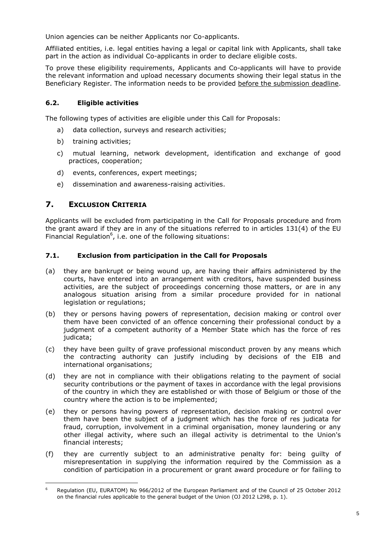Union agencies can be neither Applicants nor Co-applicants.

Affiliated entities, i.e. legal entities having a legal or capital link with Applicants, shall take part in the action as individual Co-applicants in order to declare eligible costs.

To prove these eligibility requirements, Applicants and Co-applicants will have to provide the relevant information and upload necessary documents showing their legal status in the Beneficiary Register. The information needs to be provided before the submission deadline.

#### **6.2. Eligible activities**

The following types of activities are eligible under this Call for Proposals:

- a) data collection, surveys and research activities;
- b) training activities;
- c) mutual learning, network development, identification and exchange of good practices, cooperation;
- d) events, conferences, expert meetings;
- e) dissemination and awareness-raising activities.

#### **7. EXCLUSION CRITERIA**

Applicants will be excluded from participating in the Call for Proposals procedure and from the grant award if they are in any of the situations referred to in articles 131(4) of the EU Financial Regulation $<sup>6</sup>$ , i.e. one of the following situations:</sup>

#### **7.1. Exclusion from participation in the Call for Proposals**

- (a) they are bankrupt or being wound up, are having their affairs administered by the courts, have entered into an arrangement with creditors, have suspended business activities, are the subject of proceedings concerning those matters, or are in any analogous situation arising from a similar procedure provided for in national legislation or regulations;
- (b) they or persons having powers of representation, decision making or control over them have been convicted of an offence concerning their professional conduct by a judgment of a competent authority of a Member State which has the force of res judicata;
- (c) they have been guilty of grave professional misconduct proven by any means which the contracting authority can justify including by decisions of the EIB and international organisations;
- (d) they are not in compliance with their obligations relating to the payment of social security contributions or the payment of taxes in accordance with the legal provisions of the country in which they are established or with those of Belgium or those of the country where the action is to be implemented;
- (e) they or persons having powers of representation, decision making or control over them have been the subject of a judgment which has the force of res judicata for fraud, corruption, involvement in a criminal organisation, money laundering or any other illegal activity, where such an illegal activity is detrimental to the Union's financial interests;
- (f) they are currently subject to an administrative penalty for: being guilty of misrepresentation in supplying the information required by the Commission as a condition of participation in a procurement or grant award procedure or for failing to

 $\overline{6}$ <sup>6</sup> Regulation (EU, EURATOM) No 966/2012 of the European Parliament and of the Council of 25 October 2012 on the financial rules applicable to the general budget of the Union (OJ 2012 L298, p. 1).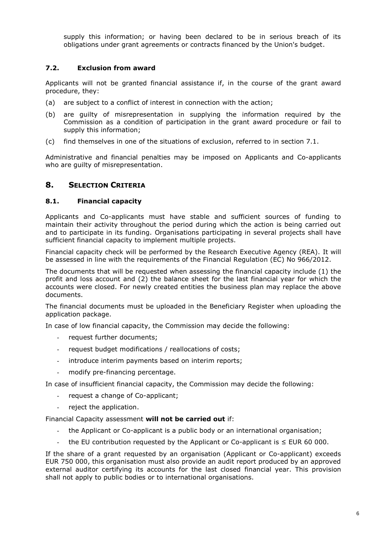supply this information; or having been declared to be in serious breach of its obligations under grant agreements or contracts financed by the Union's budget.

#### **7.2. Exclusion from award**

Applicants will not be granted financial assistance if, in the course of the grant award procedure, they:

- (a) are subject to a conflict of interest in connection with the action;
- (b) are guilty of misrepresentation in supplying the information required by the Commission as a condition of participation in the grant award procedure or fail to supply this information;
- (c) find themselves in one of the situations of exclusion, referred to in section 7.1.

Administrative and financial penalties may be imposed on Applicants and Co-applicants who are guilty of misrepresentation.

#### **8. SELECTION CRITERIA**

#### **8.1. Financial capacity**

Applicants and Co-applicants must have stable and sufficient sources of funding to maintain their activity throughout the period during which the action is being carried out and to participate in its funding. Organisations participating in several projects shall have sufficient financial capacity to implement multiple projects.

Financial capacity check will be performed by the Research Executive Agency (REA). It will be assessed in line with the requirements of the Financial Regulation (EC) No 966/2012.

The documents that will be requested when assessing the financial capacity include (1) the profit and loss account and (2) the balance sheet for the last financial year for which the accounts were closed. For newly created entities the business plan may replace the above documents.

The financial documents must be uploaded in the Beneficiary Register when uploading the application package.

In case of low financial capacity, the Commission may decide the following:

- request further documents;
- request budget modifications / reallocations of costs;
- introduce interim payments based on interim reports;
- modify pre-financing percentage.

In case of insufficient financial capacity, the Commission may decide the following:

- request a change of Co-applicant;
- reject the application.

Financial Capacity assessment **will not be carried out** if:

- the Applicant or Co-applicant is a public body or an international organisation;
- the EU contribution requested by the Applicant or Co-applicant is ≤ EUR 60 000.

If the share of a grant requested by an organisation (Applicant or Co-applicant) exceeds EUR 750 000, this organisation must also provide an audit report produced by an approved external auditor certifying its accounts for the last closed financial year. This provision shall not apply to public bodies or to international organisations.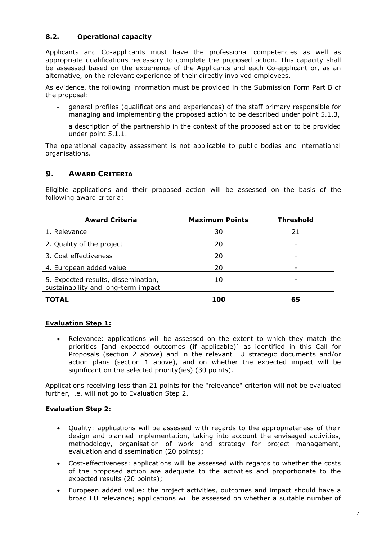#### **8.2. Operational capacity**

Applicants and Co-applicants must have the professional competencies as well as appropriate qualifications necessary to complete the proposed action. This capacity shall be assessed based on the experience of the Applicants and each Co-applicant or, as an alternative, on the relevant experience of their directly involved employees.

As evidence, the following information must be provided in the Submission Form Part B of the proposal:

- general profiles (qualifications and experiences) of the staff primary responsible for managing and implementing the proposed action to be described under point 5.1.3,
- a description of the partnership in the context of the proposed action to be provided under point 5.1.1.

The operational capacity assessment is not applicable to public bodies and international organisations.

#### **9. AWARD CRITERIA**

Eligible applications and their proposed action will be assessed on the basis of the following award criteria:

| <b>Award Criteria</b>                                                      | <b>Maximum Points</b> | <b>Threshold</b> |
|----------------------------------------------------------------------------|-----------------------|------------------|
| 1. Relevance                                                               | 30                    | 21               |
| 2. Quality of the project                                                  | 20                    |                  |
| 3. Cost effectiveness                                                      | 20                    |                  |
| 4. European added value                                                    | 20                    |                  |
| 5. Expected results, dissemination,<br>sustainability and long-term impact | 10                    |                  |
| TOTAL                                                                      | 100                   | 65               |

#### **Evaluation Step 1:**

 Relevance: applications will be assessed on the extent to which they match the priorities [and expected outcomes (if applicable)] as identified in this Call for Proposals (section 2 above) and in the relevant EU strategic documents and/or action plans (section 1 above), and on whether the expected impact will be significant on the selected priority(ies) (30 points).

Applications receiving less than 21 points for the "relevance" criterion will not be evaluated further, i.e. will not go to Evaluation Step 2.

#### **Evaluation Step 2:**

- Ouality: applications will be assessed with regards to the appropriateness of their design and planned implementation, taking into account the envisaged activities, methodology, organisation of work and strategy for project management, evaluation and dissemination (20 points);
- Cost-effectiveness: applications will be assessed with regards to whether the costs of the proposed action are adequate to the activities and proportionate to the expected results (20 points);
- European added value: the project activities, outcomes and impact should have a broad EU relevance; applications will be assessed on whether a suitable number of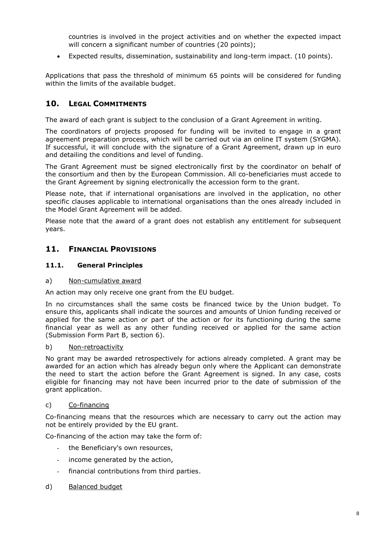countries is involved in the project activities and on whether the expected impact will concern a significant number of countries (20 points);

Expected results, dissemination, sustainability and long-term impact. (10 points).

Applications that pass the threshold of minimum 65 points will be considered for funding within the limits of the available budget.

#### **10. LEGAL COMMITMENTS**

The award of each grant is subject to the conclusion of a Grant Agreement in writing.

The coordinators of projects proposed for funding will be invited to engage in a grant agreement preparation process, which will be carried out via an online IT system (SYGMA). If successful, it will conclude with the signature of a Grant Agreement, drawn up in euro and detailing the conditions and level of funding.

The Grant Agreement must be signed electronically first by the coordinator on behalf of the consortium and then by the European Commission. All co-beneficiaries must accede to the Grant Agreement by signing electronically the accession form to the grant.

Please note, that if international organisations are involved in the application, no other specific clauses applicable to international organisations than the ones already included in the Model Grant Agreement will be added.

Please note that the award of a grant does not establish any entitlement for subsequent years.

#### **11. FINANCIAL PROVISIONS**

#### **11.1. General Principles**

#### a) Non-cumulative award

An action may only receive one grant from the EU budget.

In no circumstances shall the same costs be financed twice by the Union budget. To ensure this, applicants shall indicate the sources and amounts of Union funding received or applied for the same action or part of the action or for its functioning during the same financial year as well as any other funding received or applied for the same action (Submission Form Part B, section 6).

#### b) Non-retroactivity

No grant may be awarded retrospectively for actions already completed. A grant may be awarded for an action which has already begun only where the Applicant can demonstrate the need to start the action before the Grant Agreement is signed. In any case, costs eligible for financing may not have been incurred prior to the date of submission of the grant application.

#### c) Co-financing

Co-financing means that the resources which are necessary to carry out the action may not be entirely provided by the EU grant.

Co-financing of the action may take the form of:

- the Beneficiary's own resources,
- income generated by the action,
- financial contributions from third parties.

#### d) Balanced budget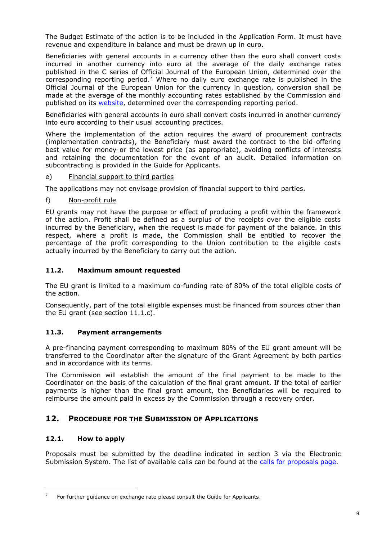The Budget Estimate of the action is to be included in the Application Form. It must have revenue and expenditure in balance and must be drawn up in euro.

Beneficiaries with general accounts in a currency other than the euro shall convert costs incurred in another currency into euro at the average of the daily exchange rates published in the C series of Official Journal of the European Union, determined over the corresponding reporting period.<sup>7</sup> Where no daily euro exchange rate is published in the Official Journal of the European Union for the currency in question, conversion shall be made at the average of the monthly accounting rates established by the Commission and published on its [website,](http://ec.europa.eu/budget/contracts_grants/info_contracts/inforeuro/index_en.cfm) determined over the corresponding reporting period.

Beneficiaries with general accounts in euro shall convert costs incurred in another currency into euro according to their usual accounting practices.

Where the implementation of the action requires the award of procurement contracts (implementation contracts), the Beneficiary must award the contract to the bid offering best value for money or the lowest price (as appropriate), avoiding conflicts of interests and retaining the documentation for the event of an audit. Detailed information on subcontracting is provided in the Guide for Applicants.

e) Financial support to third parties

The applications may not envisage provision of financial support to third parties.

f) Non-profit rule

EU grants may not have the purpose or effect of producing a profit within the framework of the action. Profit shall be defined as a surplus of the receipts over the eligible costs incurred by the Beneficiary, when the request is made for payment of the balance. In this respect, where a profit is made, the Commission shall be entitled to recover the percentage of the profit corresponding to the Union contribution to the eligible costs actually incurred by the Beneficiary to carry out the action.

#### **11.2. Maximum amount requested**

The EU grant is limited to a maximum co-funding rate of 80% of the total eligible costs of the action.

Consequently, part of the total eligible expenses must be financed from sources other than the EU grant (see section 11.1.c).

#### **11.3. Payment arrangements**

A pre-financing payment corresponding to maximum 80% of the EU grant amount will be transferred to the Coordinator after the signature of the Grant Agreement by both parties and in accordance with its terms.

The Commission will establish the amount of the final payment to be made to the Coordinator on the basis of the calculation of the final grant amount. If the total of earlier payments is higher than the final grant amount, the Beneficiaries will be required to reimburse the amount paid in excess by the Commission through a recovery order.

#### **12. PROCEDURE FOR THE SUBMISSION OF APPLICATIONS**

#### **12.1. How to apply**

 $\overline{a}$ 

Proposals must be submitted by the deadline indicated in section 3 via the Electronic Submission System. The list of available calls can be found at the [calls for proposals page.](http://ec.europa.eu/research/participants/portal/desktop/en/opportunities/isfp/index.html)

<sup>7</sup> For further guidance on exchange rate please consult the Guide for Applicants.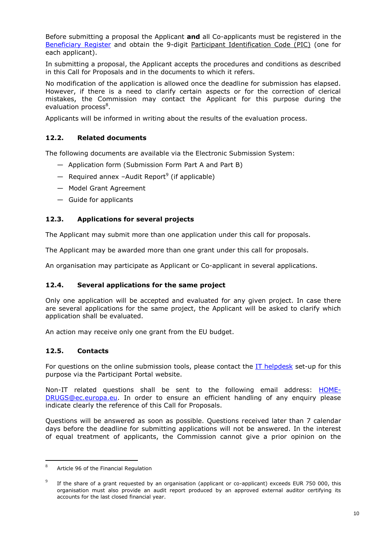Before submitting a proposal the Applicant **and** all Co-applicants must be registered in the [Beneficiary Register](http://ec.europa.eu/research/participants/portal/desktop/en/organisations/register.html) and obtain the 9-digit Participant Identification Code (PIC) (one for each applicant).

In submitting a proposal, the Applicant accepts the procedures and conditions as described in this Call for Proposals and in the documents to which it refers.

No modification of the application is allowed once the deadline for submission has elapsed. However, if there is a need to clarify certain aspects or for the correction of clerical mistakes, the Commission may contact the Applicant for this purpose during the evaluation process<sup>8</sup>.

Applicants will be informed in writing about the results of the evaluation process.

#### **12.2. Related documents**

The following documents are available via the Electronic Submission System:

- Application form (Submission Form Part A and Part B)
- Required annex -Audit Report<sup>9</sup> (if applicable)
- Model Grant Agreement
- Guide for applicants

#### **12.3. Applications for several projects**

The Applicant may submit more than one application under this call for proposals.

The Applicant may be awarded more than one grant under this call for proposals.

An organisation may participate as Applicant or Co-applicant in several applications.

#### **12.4. Several applications for the same project**

Only one application will be accepted and evaluated for any given project. In case there are several applications for the same project, the Applicant will be asked to clarify which application shall be evaluated.

An action may receive only one grant from the EU budget.

#### **12.5. Contacts**

l

For questions on the online submission tools, please contact the [IT helpdesk](http://ec.europa.eu/research/participants/api/contact/index.html) set-up for this purpose via the Participant Portal website.

Non-IT related questions shall be sent to the following email address: [HOME-](mailto:HOME-DRUGS@ec.europa.eu)[DRUGS@ec.europa.eu.](mailto:HOME-DRUGS@ec.europa.eu) In order to ensure an efficient handling of any enquiry please indicate clearly the reference of this Call for Proposals.

Questions will be answered as soon as possible. Questions received later than 7 calendar days before the deadline for submitting applications will not be answered. In the interest of equal treatment of applicants, the Commission cannot give a prior opinion on the

<sup>8</sup> Article 96 of the Financial Regulation

<sup>9</sup> If the share of a grant requested by an organisation (applicant or co-applicant) exceeds EUR 750 000, this organisation must also provide an audit report produced by an approved external auditor certifying its accounts for the last closed financial year.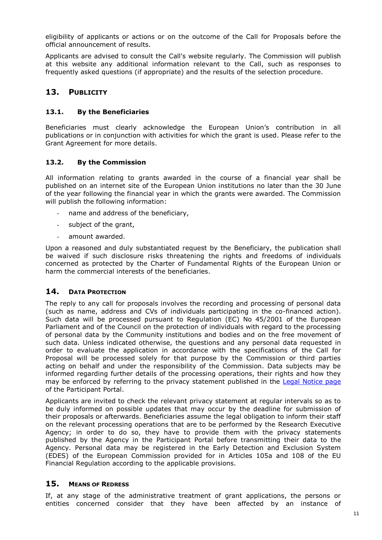eligibility of applicants or actions or on the outcome of the Call for Proposals before the official announcement of results.

Applicants are advised to consult the Call's website regularly. The Commission will publish at this website any additional information relevant to the Call, such as responses to frequently asked questions (if appropriate) and the results of the selection procedure.

#### **13. PUBLICITY**

#### **13.1. By the Beneficiaries**

Beneficiaries must clearly acknowledge the European Union's contribution in all publications or in conjunction with activities for which the grant is used. Please refer to the Grant Agreement for more details.

#### **13.2. By the Commission**

All information relating to grants awarded in the course of a financial year shall be published on an internet site of the European Union institutions no later than the 30 June of the year following the financial year in which the grants were awarded. The Commission will publish the following information:

- name and address of the beneficiary,
- subject of the grant,
- amount awarded.

Upon a reasoned and duly substantiated request by the Beneficiary, the publication shall be waived if such disclosure risks threatening the rights and freedoms of individuals concerned as protected by the Charter of Fundamental Rights of the European Union or harm the commercial interests of the beneficiaries.

#### **14. DATA PROTECTION**

The reply to any call for proposals involves the recording and processing of personal data (such as name, address and CVs of individuals participating in the co-financed action). Such data will be processed pursuant to Regulation (EC) No 45/2001 of the European Parliament and of the Council on the protection of individuals with regard to the processing of personal data by the Community institutions and bodies and on the free movement of such data. Unless indicated otherwise, the questions and any personal data requested in order to evaluate the application in accordance with the specifications of the Call for Proposal will be processed solely for that purpose by the Commission or third parties acting on behalf and under the responsibility of the Commission. Data subjects may be informed regarding further details of the processing operations, their rights and how they may be enforced by referring to the privacy statement published in the [Legal Notice page](http://ec.europa.eu/research/participants/portal/desktop/en/support/legal_notices.html) of the Participant Portal.

Applicants are invited to check the relevant privacy statement at regular intervals so as to be duly informed on possible updates that may occur by the deadline for submission of their proposals or afterwards. Beneficiaries assume the legal obligation to inform their staff on the relevant processing operations that are to be performed by the Research Executive Agency; in order to do so, they have to provide them with the privacy statements published by the Agency in the Participant Portal before transmitting their data to the Agency. Personal data may be registered in the Early Detection and Exclusion System (EDES) of the European Commission provided for in Articles 105a and 108 of the EU Financial Regulation according to the applicable provisions.

#### **15. MEANS OF REDRESS**

If, at any stage of the administrative treatment of grant applications, the persons or entities concerned consider that they have been affected by an instance of